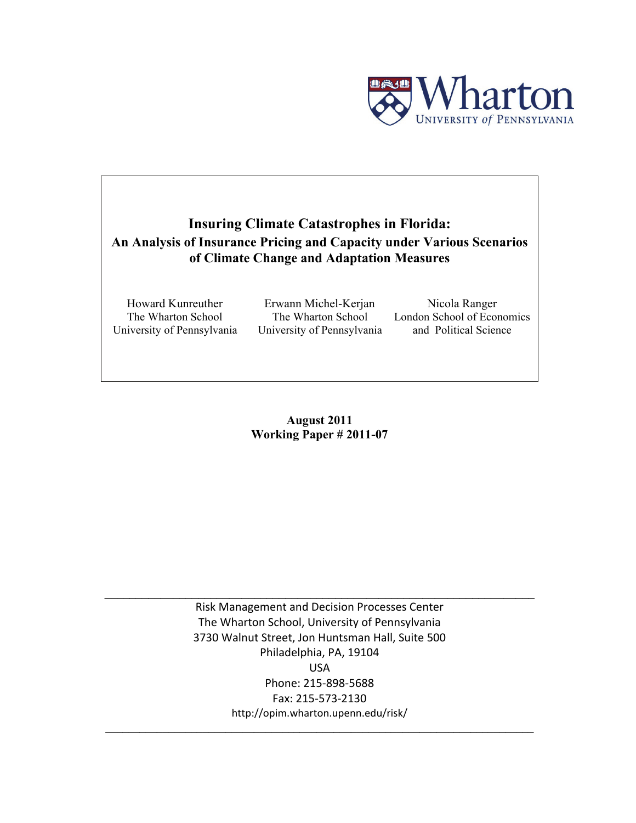

## **Insuring Climate Catastrophes in Florida: An Analysis of Insurance Pricing and Capacity under Various Scenarios of Climate Change and Adaptation Measures**

Howard Kunreuther The Wharton School University of Pennsylvania

Erwann Michel-Kerjan The Wharton School University of Pennsylvania

Nicola Ranger London School of Economics and Political Science

**August 2011 Working Paper # 2011-07** 

Risk Management and Decision Processes Center The Wharton School, University of Pennsylvania 3730 Walnut Street, Jon Huntsman Hall, Suite 500 Philadelphia, PA, 19104 USA Phone: 215‐898‐5688 Fax: 215‐573‐2130 http://opim.wharton.upenn.edu/risk/

**\_\_\_\_\_\_\_\_\_\_\_\_\_\_\_\_\_\_\_\_\_\_\_\_\_\_\_\_\_\_\_\_\_\_\_\_\_\_\_\_\_\_\_\_\_\_\_\_\_\_\_\_\_\_\_\_\_\_\_\_\_\_\_\_\_\_\_\_\_\_\_\_\_\_\_**

 $\mathcal{L} = \{ \mathcal{L} \mathcal{L} \mathcal{L} \mathcal{L} \mathcal{L} \mathcal{L} \mathcal{L} \mathcal{L} \mathcal{L} \mathcal{L} \mathcal{L} \mathcal{L} \mathcal{L} \mathcal{L} \mathcal{L} \mathcal{L} \mathcal{L} \mathcal{L} \mathcal{L} \mathcal{L} \mathcal{L} \mathcal{L} \mathcal{L} \mathcal{L} \mathcal{L} \mathcal{L} \mathcal{L} \mathcal{L} \mathcal{L} \mathcal{L} \mathcal{L} \mathcal{L} \mathcal{L} \mathcal{L} \mathcal{L} \$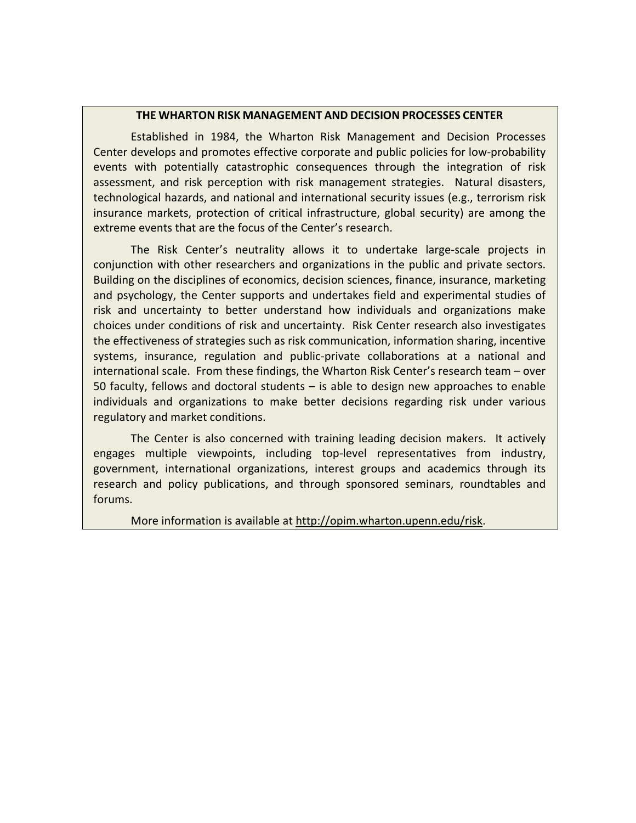## **THE WHARTON RISK MANAGEMENT AND DECISION PROCESSES CENTER**

Established in 1984, the Wharton Risk Management and Decision Processes Center develops and promotes effective corporate and public policies for low‐probability events with potentially catastrophic consequences through the integration of risk assessment, and risk perception with risk management strategies. Natural disasters, technological hazards, and national and international security issues (e.g., terrorism risk insurance markets, protection of critical infrastructure, global security) are among the extreme events that are the focus of the Center's research.

The Risk Center's neutrality allows it to undertake large‐scale projects in conjunction with other researchers and organizations in the public and private sectors. Building on the disciplines of economics, decision sciences, finance, insurance, marketing and psychology, the Center supports and undertakes field and experimental studies of risk and uncertainty to better understand how individuals and organizations make choices under conditions of risk and uncertainty. Risk Center research also investigates the effectiveness of strategies such as risk communication, information sharing, incentive systems, insurance, regulation and public-private collaborations at a national and international scale. From these findings, the Wharton Risk Center's research team – over 50 faculty, fellows and doctoral students – is able to design new approaches to enable individuals and organizations to make better decisions regarding risk under various regulatory and market conditions.

The Center is also concerned with training leading decision makers. It actively engages multiple viewpoints, including top-level representatives from industry, government, international organizations, interest groups and academics through its research and policy publications, and through sponsored seminars, roundtables and forums.

More information is available at http://opim.wharton.upenn.edu/risk.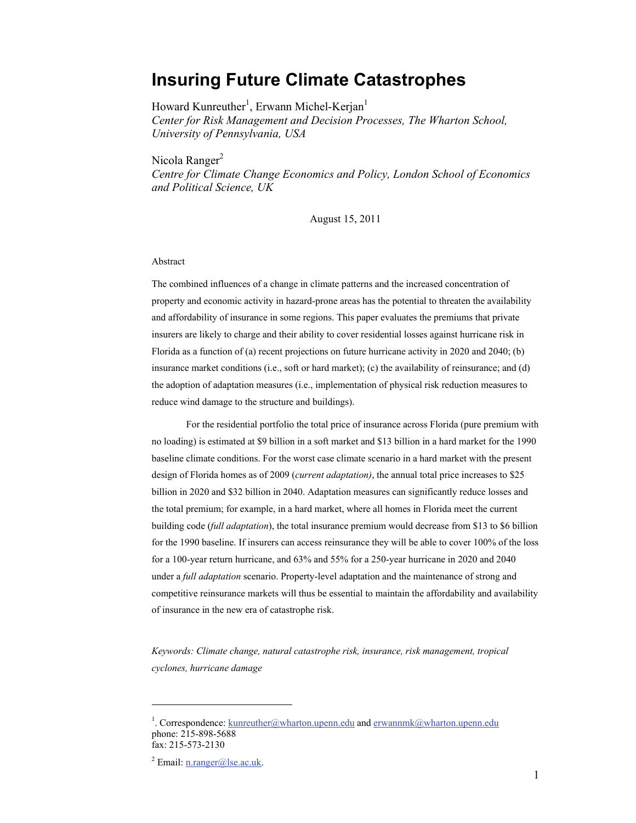## **Insuring Future Climate Catastrophes**

Howard Kunreuther<sup>1</sup>, Erwann Michel-Kerjan<sup>1</sup> *Center for Risk Management and Decision Processes, The Wharton School, University of Pennsylvania, USA* 

Nicola Ranger $<sup>2</sup>$ </sup>

*Centre for Climate Change Economics and Policy, London School of Economics and Political Science, UK* 

August 15, 2011

#### Abstract

The combined influences of a change in climate patterns and the increased concentration of property and economic activity in hazard-prone areas has the potential to threaten the availability and affordability of insurance in some regions. This paper evaluates the premiums that private insurers are likely to charge and their ability to cover residential losses against hurricane risk in Florida as a function of (a) recent projections on future hurricane activity in 2020 and 2040; (b) insurance market conditions (i.e., soft or hard market); (c) the availability of reinsurance; and (d) the adoption of adaptation measures (i.e., implementation of physical risk reduction measures to reduce wind damage to the structure and buildings).

 For the residential portfolio the total price of insurance across Florida (pure premium with no loading) is estimated at \$9 billion in a soft market and \$13 billion in a hard market for the 1990 baseline climate conditions. For the worst case climate scenario in a hard market with the present design of Florida homes as of 2009 (*current adaptation)*, the annual total price increases to \$25 billion in 2020 and \$32 billion in 2040. Adaptation measures can significantly reduce losses and the total premium; for example, in a hard market, where all homes in Florida meet the current building code (*full adaptation*), the total insurance premium would decrease from \$13 to \$6 billion for the 1990 baseline. If insurers can access reinsurance they will be able to cover 100% of the loss for a 100-year return hurricane, and 63% and 55% for a 250-year hurricane in 2020 and 2040 under a *full adaptation* scenario. Property-level adaptation and the maintenance of strong and competitive reinsurance markets will thus be essential to maintain the affordability and availability of insurance in the new era of catastrophe risk.

*Keywords: Climate change, natural catastrophe risk, insurance, risk management, tropical cyclones, hurricane damage* 

<sup>&</sup>lt;sup>1</sup>. Correspondence:  $k$ unreuther@wharton.upenn.edu and erwannmk@wharton.upenn.edu phone: 215-898-5688 fax: 215-573-2130

<sup>&</sup>lt;sup>2</sup> Email:  $n.random@$ lse.ac.uk.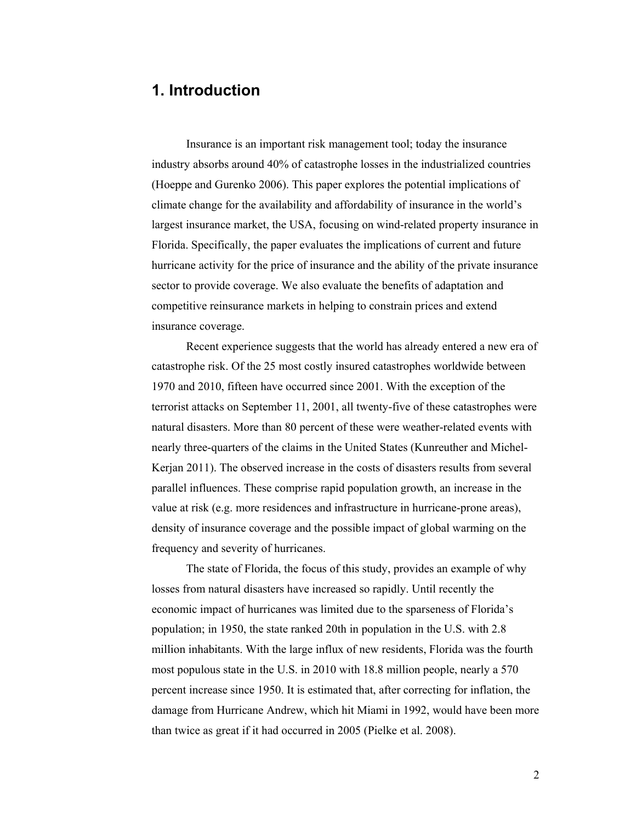# **1. Introduction**

Insurance is an important risk management tool; today the insurance industry absorbs around 40% of catastrophe losses in the industrialized countries (Hoeppe and Gurenko 2006). This paper explores the potential implications of climate change for the availability and affordability of insurance in the world's largest insurance market, the USA, focusing on wind-related property insurance in Florida. Specifically, the paper evaluates the implications of current and future hurricane activity for the price of insurance and the ability of the private insurance sector to provide coverage. We also evaluate the benefits of adaptation and competitive reinsurance markets in helping to constrain prices and extend insurance coverage.

Recent experience suggests that the world has already entered a new era of catastrophe risk. Of the 25 most costly insured catastrophes worldwide between 1970 and 2010, fifteen have occurred since 2001. With the exception of the terrorist attacks on September 11, 2001, all twenty-five of these catastrophes were natural disasters. More than 80 percent of these were weather-related events with nearly three-quarters of the claims in the United States (Kunreuther and Michel-Kerjan 2011). The observed increase in the costs of disasters results from several parallel influences. These comprise rapid population growth, an increase in the value at risk (e.g. more residences and infrastructure in hurricane-prone areas), density of insurance coverage and the possible impact of global warming on the frequency and severity of hurricanes.

The state of Florida, the focus of this study, provides an example of why losses from natural disasters have increased so rapidly. Until recently the economic impact of hurricanes was limited due to the sparseness of Florida's population; in 1950, the state ranked 20th in population in the U.S. with 2.8 million inhabitants. With the large influx of new residents, Florida was the fourth most populous state in the U.S. in 2010 with 18.8 million people, nearly a 570 percent increase since 1950. It is estimated that, after correcting for inflation, the damage from Hurricane Andrew, which hit Miami in 1992, would have been more than twice as great if it had occurred in 2005 (Pielke et al. 2008).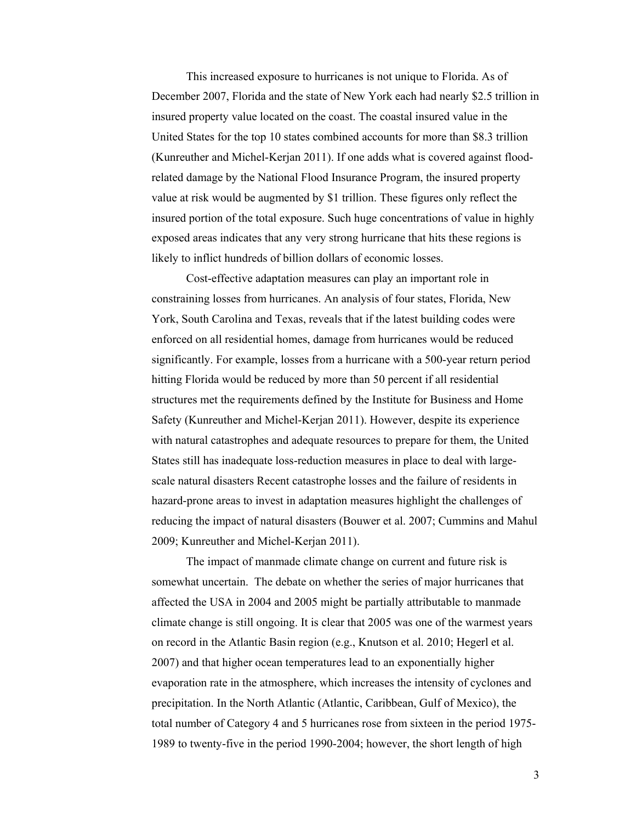This increased exposure to hurricanes is not unique to Florida. As of December 2007, Florida and the state of New York each had nearly \$2.5 trillion in insured property value located on the coast. The coastal insured value in the United States for the top 10 states combined accounts for more than \$8.3 trillion (Kunreuther and Michel-Kerjan 2011). If one adds what is covered against floodrelated damage by the National Flood Insurance Program, the insured property value at risk would be augmented by \$1 trillion. These figures only reflect the insured portion of the total exposure. Such huge concentrations of value in highly exposed areas indicates that any very strong hurricane that hits these regions is likely to inflict hundreds of billion dollars of economic losses.

 Cost-effective adaptation measures can play an important role in constraining losses from hurricanes. An analysis of four states, Florida, New York, South Carolina and Texas, reveals that if the latest building codes were enforced on all residential homes, damage from hurricanes would be reduced significantly. For example, losses from a hurricane with a 500-year return period hitting Florida would be reduced by more than 50 percent if all residential structures met the requirements defined by the Institute for Business and Home Safety (Kunreuther and Michel-Kerjan 2011). However, despite its experience with natural catastrophes and adequate resources to prepare for them, the United States still has inadequate loss-reduction measures in place to deal with largescale natural disasters Recent catastrophe losses and the failure of residents in hazard-prone areas to invest in adaptation measures highlight the challenges of reducing the impact of natural disasters (Bouwer et al. 2007; Cummins and Mahul 2009; Kunreuther and Michel-Kerjan 2011).

The impact of manmade climate change on current and future risk is somewhat uncertain. The debate on whether the series of major hurricanes that affected the USA in 2004 and 2005 might be partially attributable to manmade climate change is still ongoing. It is clear that 2005 was one of the warmest years on record in the Atlantic Basin region (e.g., Knutson et al. 2010; Hegerl et al. 2007) and that higher ocean temperatures lead to an exponentially higher evaporation rate in the atmosphere, which increases the intensity of cyclones and precipitation. In the North Atlantic (Atlantic, Caribbean, Gulf of Mexico), the total number of Category 4 and 5 hurricanes rose from sixteen in the period 1975- 1989 to twenty-five in the period 1990-2004; however, the short length of high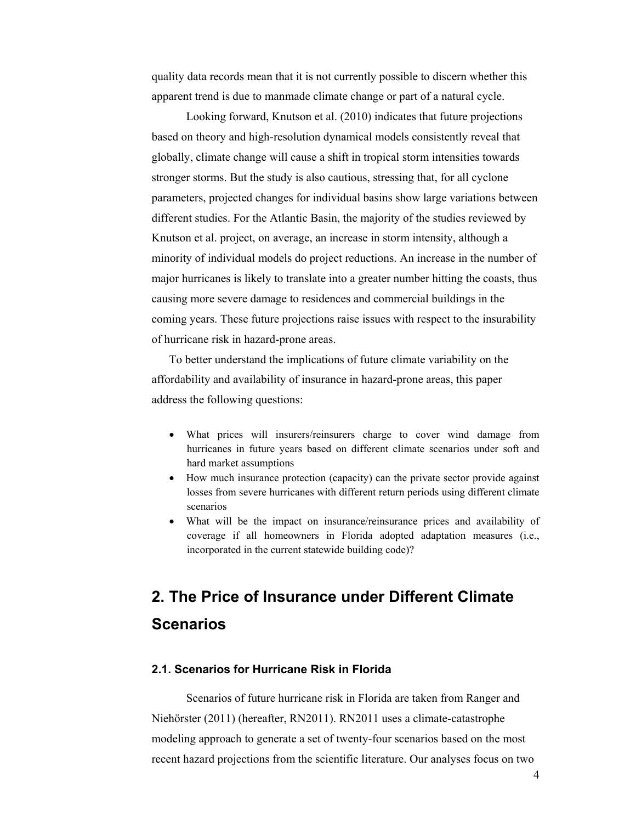quality data records mean that it is not currently possible to discern whether this apparent trend is due to manmade climate change or part of a natural cycle.

Looking forward, Knutson et al. (2010) indicates that future projections based on theory and high-resolution dynamical models consistently reveal that globally, climate change will cause a shift in tropical storm intensities towards stronger storms. But the study is also cautious, stressing that, for all cyclone parameters, projected changes for individual basins show large variations between different studies. For the Atlantic Basin, the majority of the studies reviewed by Knutson et al. project, on average, an increase in storm intensity, although a minority of individual models do project reductions. An increase in the number of major hurricanes is likely to translate into a greater number hitting the coasts, thus causing more severe damage to residences and commercial buildings in the coming years. These future projections raise issues with respect to the insurability of hurricane risk in hazard-prone areas.

To better understand the implications of future climate variability on the affordability and availability of insurance in hazard-prone areas, this paper address the following questions:

- What prices will insurers/reinsurers charge to cover wind damage from hurricanes in future years based on different climate scenarios under soft and hard market assumptions
- How much insurance protection (capacity) can the private sector provide against losses from severe hurricanes with different return periods using different climate scenarios
- What will be the impact on insurance/reinsurance prices and availability of coverage if all homeowners in Florida adopted adaptation measures (i.e., incorporated in the current statewide building code)?

# **2. The Price of Insurance under Different Climate Scenarios**

## **2.1. Scenarios for Hurricane Risk in Florida**

Scenarios of future hurricane risk in Florida are taken from Ranger and Niehörster (2011) (hereafter, RN2011). RN2011 uses a climate-catastrophe modeling approach to generate a set of twenty-four scenarios based on the most recent hazard projections from the scientific literature. Our analyses focus on two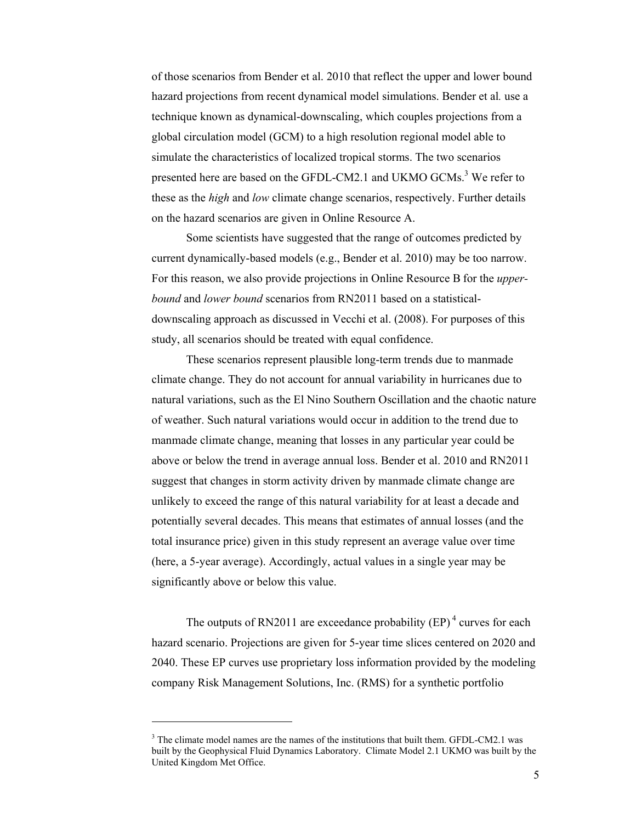of those scenarios from Bender et al. 2010 that reflect the upper and lower bound hazard projections from recent dynamical model simulations. Bender et al*.* use a technique known as dynamical-downscaling, which couples projections from a global circulation model (GCM) to a high resolution regional model able to simulate the characteristics of localized tropical storms. The two scenarios presented here are based on the GFDL-CM2.1 and UKMO GCMs.<sup>3</sup> We refer to these as the *high* and *low* climate change scenarios, respectively. Further details on the hazard scenarios are given in Online Resource A.

Some scientists have suggested that the range of outcomes predicted by current dynamically-based models (e.g., Bender et al. 2010) may be too narrow. For this reason, we also provide projections in Online Resource B for the *upperbound* and *lower bound* scenarios from RN2011 based on a statisticaldownscaling approach as discussed in Vecchi et al. (2008). For purposes of this study, all scenarios should be treated with equal confidence.

 These scenarios represent plausible long-term trends due to manmade climate change. They do not account for annual variability in hurricanes due to natural variations, such as the El Nino Southern Oscillation and the chaotic nature of weather. Such natural variations would occur in addition to the trend due to manmade climate change, meaning that losses in any particular year could be above or below the trend in average annual loss. Bender et al. 2010 and RN2011 suggest that changes in storm activity driven by manmade climate change are unlikely to exceed the range of this natural variability for at least a decade and potentially several decades. This means that estimates of annual losses (and the total insurance price) given in this study represent an average value over time (here, a 5-year average). Accordingly, actual values in a single year may be significantly above or below this value.

The outputs of RN2011 are exceedance probability  $(EP)^4$  curves for each hazard scenario. Projections are given for 5-year time slices centered on 2020 and 2040. These EP curves use proprietary loss information provided by the modeling company Risk Management Solutions, Inc. (RMS) for a synthetic portfolio

<sup>&</sup>lt;sup>3</sup> The climate model names are the names of the institutions that built them. GFDL-CM2.1 was built by the Geophysical Fluid Dynamics Laboratory. Climate Model 2.1 UKMO was built by the United Kingdom Met Office.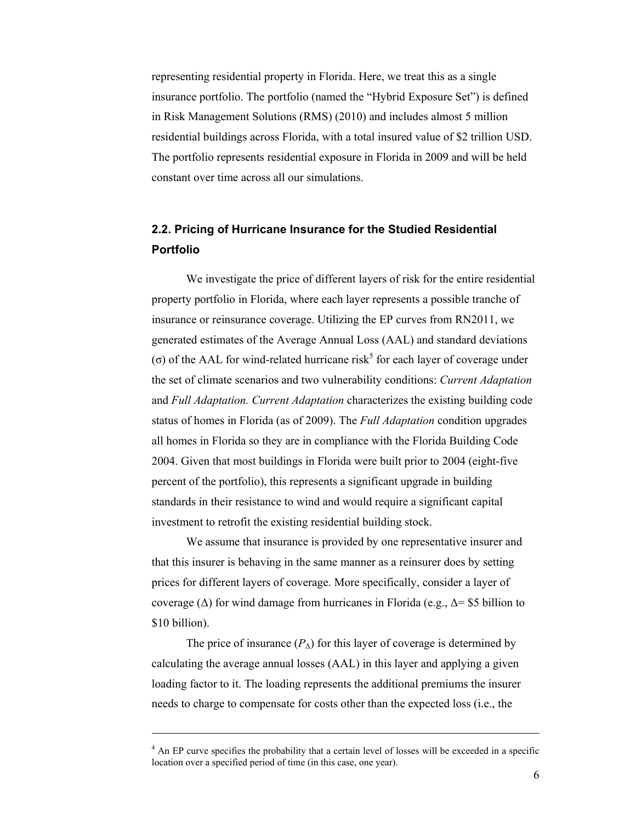representing residential property in Florida. Here, we treat this as a single insurance portfolio. The portfolio (named the "Hybrid Exposure Set") is defined in Risk Management Solutions (RMS) (2010) and includes almost 5 million residential buildings across Florida, with a total insured value of \$2 trillion USD. The portfolio represents residential exposure in Florida in 2009 and will be held constant over time across all our simulations.

## **2.2. Pricing of Hurricane Insurance for the Studied Residential Portfolio**

We investigate the price of different layers of risk for the entire residential property portfolio in Florida, where each layer represents a possible tranche of insurance or reinsurance coverage. Utilizing the EP curves from RN2011, we generated estimates of the Average Annual Loss (AAL) and standard deviations (σ) of the AAL for wind-related hurricane risk<sup>5</sup> for each layer of coverage under the set of climate scenarios and two vulnerability conditions: *Current Adaptation*  and *Full Adaptation. Current Adaptation* characterizes the existing building code status of homes in Florida (as of 2009). The *Full Adaptation* condition upgrades all homes in Florida so they are in compliance with the Florida Building Code 2004. Given that most buildings in Florida were built prior to 2004 (eight-five percent of the portfolio), this represents a significant upgrade in building standards in their resistance to wind and would require a significant capital investment to retrofit the existing residential building stock.

 We assume that insurance is provided by one representative insurer and that this insurer is behaving in the same manner as a reinsurer does by setting prices for different layers of coverage. More specifically, consider a layer of coverage ( $\Delta$ ) for wind damage from hurricanes in Florida (e.g.,  $\Delta$ = \$5 billion to \$10 billion).

The price of insurance  $(P_{\Delta})$  for this layer of coverage is determined by calculating the average annual losses (AAL) in this layer and applying a given loading factor to it. The loading represents the additional premiums the insurer needs to charge to compensate for costs other than the expected loss (i.e., the

<sup>&</sup>lt;sup>4</sup> An EP curve specifies the probability that a certain level of losses will be exceeded in a specific location over a specified period of time (in this case, one year).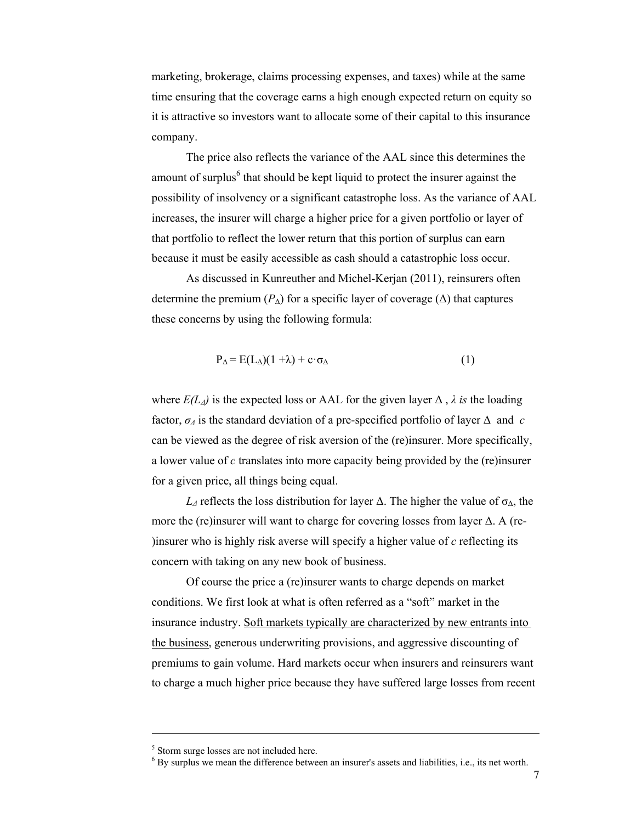marketing, brokerage, claims processing expenses, and taxes) while at the same time ensuring that the coverage earns a high enough expected return on equity so it is attractive so investors want to allocate some of their capital to this insurance company.

 The price also reflects the variance of the AAL since this determines the amount of surplus<sup>6</sup> that should be kept liquid to protect the insurer against the possibility of insolvency or a significant catastrophe loss. As the variance of AAL increases, the insurer will charge a higher price for a given portfolio or layer of that portfolio to reflect the lower return that this portion of surplus can earn because it must be easily accessible as cash should a catastrophic loss occur.

 As discussed in Kunreuther and Michel-Kerjan (2011), reinsurers often determine the premium  $(P_{\Lambda})$  for a specific layer of coverage ( $\Delta$ ) that captures these concerns by using the following formula:

$$
P_{\Delta} = E(L_{\Delta})(1 + \lambda) + c \cdot \sigma_{\Delta}
$$
 (1)

where  $E(L_A)$  is the expected loss or AAL for the given layer  $\Delta$ ,  $\lambda$  *is* the loading factor,  $\sigma_A$  is the standard deviation of a pre-specified portfolio of layer  $\Delta$  and *c* can be viewed as the degree of risk aversion of the (re)insurer. More specifically, a lower value of *c* translates into more capacity being provided by the (re)insurer for a given price, all things being equal.

*L*<sub>*Δ*</sub> reflects the loss distribution for layer  $\Delta$ . The higher the value of  $\sigma_{\Delta}$ , the more the (re)insurer will want to charge for covering losses from layer Δ. A (re- )insurer who is highly risk averse will specify a higher value of *c* reflecting its concern with taking on any new book of business.

 Of course the price a (re)insurer wants to charge depends on market conditions. We first look at what is often referred as a "soft" market in the insurance industry. Soft markets typically are characterized by new entrants into the business, generous underwriting provisions, and aggressive discounting of premiums to gain volume. Hard markets occur when insurers and reinsurers want to charge a much higher price because they have suffered large losses from recent

<sup>&</sup>lt;sup>5</sup> Storm surge losses are not included here.

<sup>&</sup>lt;sup>6</sup> By surplus we mean the difference between an insurer's assets and liabilities, i.e., its net worth.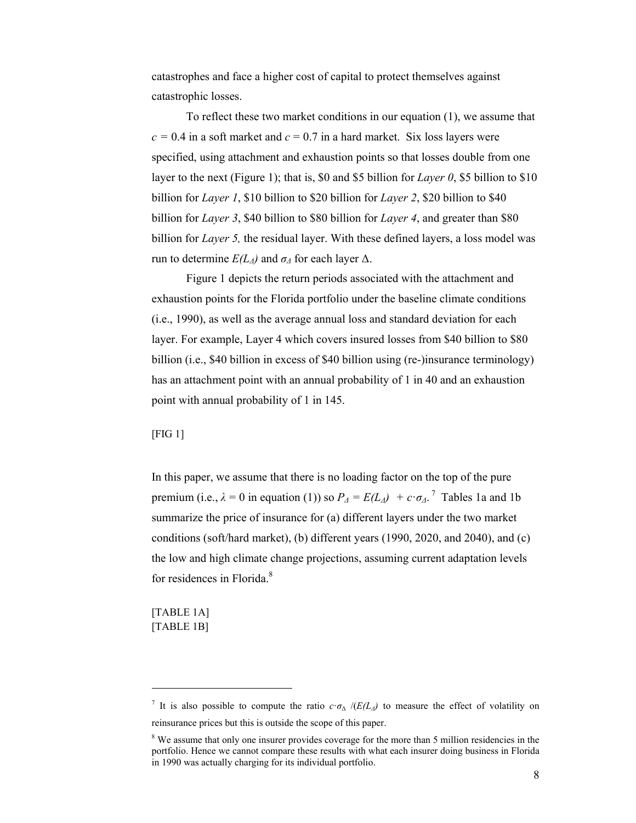catastrophes and face a higher cost of capital to protect themselves against catastrophic losses.

 To reflect these two market conditions in our equation (1), we assume that  $c = 0.4$  in a soft market and  $c = 0.7$  in a hard market. Six loss layers were specified, using attachment and exhaustion points so that losses double from one layer to the next (Figure 1); that is, \$0 and \$5 billion for *Layer 0*, \$5 billion to \$10 billion for *Layer 1*, \$10 billion to \$20 billion for *Layer 2*, \$20 billion to \$40 billion for *Layer 3*, \$40 billion to \$80 billion for *Layer 4*, and greater than \$80 billion for *Layer 5,* the residual layer. With these defined layers, a loss model was run to determine  $E(L_A)$  and  $σ_A$  for each layer Δ.

 Figure 1 depicts the return periods associated with the attachment and exhaustion points for the Florida portfolio under the baseline climate conditions (i.e., 1990), as well as the average annual loss and standard deviation for each layer. For example, Layer 4 which covers insured losses from \$40 billion to \$80 billion (i.e., \$40 billion in excess of \$40 billion using (re-)insurance terminology) has an attachment point with an annual probability of 1 in 40 and an exhaustion point with annual probability of 1 in 145.

#### [FIG 1]

In this paper, we assume that there is no loading factor on the top of the pure premium (i.e.,  $\lambda = 0$  in equation (1)) so  $P_{\lambda} = E(L_{\lambda}) + c \cdot \sigma_{\lambda}$ .<sup>7</sup> Tables 1a and 1b summarize the price of insurance for (a) different layers under the two market conditions (soft/hard market), (b) different years (1990, 2020, and 2040), and (c) the low and high climate change projections, assuming current adaptation levels for residences in Florida.<sup>8</sup>

[TABLE 1A] [TABLE 1B]

<sup>&</sup>lt;sup>7</sup> It is also possible to compute the ratio  $c \cdot \sigma_{\Delta}$  /( $E(L_{\Delta})$  to measure the effect of volatility on reinsurance prices but this is outside the scope of this paper.

<sup>&</sup>lt;sup>8</sup> We assume that only one insurer provides coverage for the more than 5 million residencies in the portfolio. Hence we cannot compare these results with what each insurer doing business in Florida in 1990 was actually charging for its individual portfolio.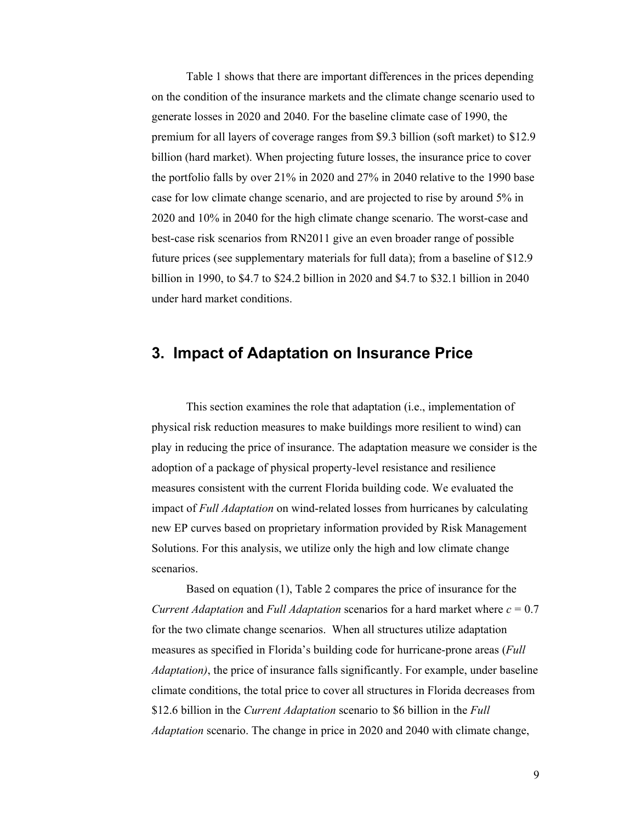Table 1 shows that there are important differences in the prices depending on the condition of the insurance markets and the climate change scenario used to generate losses in 2020 and 2040. For the baseline climate case of 1990, the premium for all layers of coverage ranges from \$9.3 billion (soft market) to \$12.9 billion (hard market). When projecting future losses, the insurance price to cover the portfolio falls by over 21% in 2020 and 27% in 2040 relative to the 1990 base case for low climate change scenario, and are projected to rise by around 5% in 2020 and 10% in 2040 for the high climate change scenario. The worst-case and best-case risk scenarios from RN2011 give an even broader range of possible future prices (see supplementary materials for full data); from a baseline of \$12.9 billion in 1990, to \$4.7 to \$24.2 billion in 2020 and \$4.7 to \$32.1 billion in 2040 under hard market conditions.

## **3. Impact of Adaptation on Insurance Price**

This section examines the role that adaptation (i.e., implementation of physical risk reduction measures to make buildings more resilient to wind) can play in reducing the price of insurance. The adaptation measure we consider is the adoption of a package of physical property-level resistance and resilience measures consistent with the current Florida building code. We evaluated the impact of *Full Adaptation* on wind-related losses from hurricanes by calculating new EP curves based on proprietary information provided by Risk Management Solutions. For this analysis, we utilize only the high and low climate change scenarios.

Based on equation (1), Table 2 compares the price of insurance for the *Current Adaptation* and *Full Adaptation* scenarios for a hard market where  $c = 0.7$ for the two climate change scenarios. When all structures utilize adaptation measures as specified in Florida's building code for hurricane-prone areas (*Full Adaptation)*, the price of insurance falls significantly. For example, under baseline climate conditions, the total price to cover all structures in Florida decreases from \$12.6 billion in the *Current Adaptation* scenario to \$6 billion in the *Full Adaptation* scenario. The change in price in 2020 and 2040 with climate change,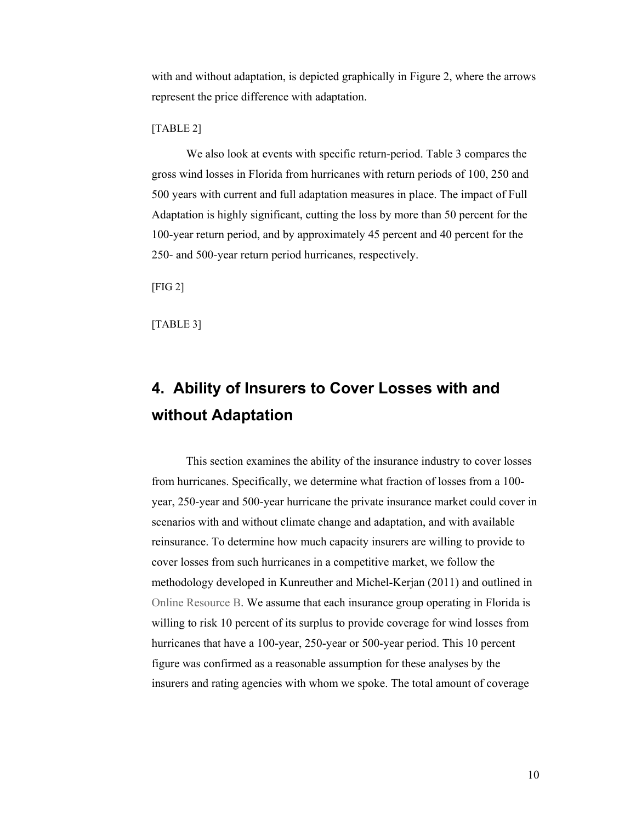with and without adaptation, is depicted graphically in Figure 2, where the arrows represent the price difference with adaptation.

[TABLE 2]

We also look at events with specific return-period. Table 3 compares the gross wind losses in Florida from hurricanes with return periods of 100, 250 and 500 years with current and full adaptation measures in place. The impact of Full Adaptation is highly significant, cutting the loss by more than 50 percent for the 100-year return period, and by approximately 45 percent and 40 percent for the 250- and 500-year return period hurricanes, respectively.

[FIG 2]

[TABLE 3]

# **4. Ability of Insurers to Cover Losses with and without Adaptation**

This section examines the ability of the insurance industry to cover losses from hurricanes. Specifically, we determine what fraction of losses from a 100 year, 250-year and 500-year hurricane the private insurance market could cover in scenarios with and without climate change and adaptation, and with available reinsurance. To determine how much capacity insurers are willing to provide to cover losses from such hurricanes in a competitive market, we follow the methodology developed in Kunreuther and Michel-Kerjan (2011) and outlined in Online Resource B. We assume that each insurance group operating in Florida is willing to risk 10 percent of its surplus to provide coverage for wind losses from hurricanes that have a 100-year, 250-year or 500-year period. This 10 percent figure was confirmed as a reasonable assumption for these analyses by the insurers and rating agencies with whom we spoke. The total amount of coverage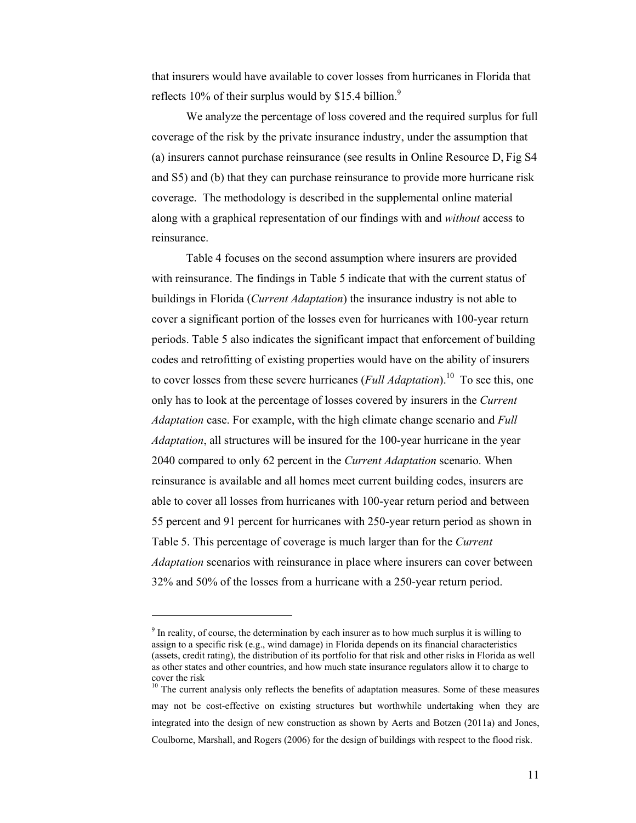that insurers would have available to cover losses from hurricanes in Florida that reflects 10% of their surplus would by \$15.4 billion.<sup>9</sup>

 We analyze the percentage of loss covered and the required surplus for full coverage of the risk by the private insurance industry, under the assumption that (a) insurers cannot purchase reinsurance (see results in Online Resource D, Fig S4 and S5) and (b) that they can purchase reinsurance to provide more hurricane risk coverage. The methodology is described in the supplemental online material along with a graphical representation of our findings with and *without* access to reinsurance.

 Table 4 focuses on the second assumption where insurers are provided with reinsurance. The findings in Table 5 indicate that with the current status of buildings in Florida (*Current Adaptation*) the insurance industry is not able to cover a significant portion of the losses even for hurricanes with 100-year return periods. Table 5 also indicates the significant impact that enforcement of building codes and retrofitting of existing properties would have on the ability of insurers to cover losses from these severe hurricanes (*Full Adaptation*).<sup>10</sup> To see this, one only has to look at the percentage of losses covered by insurers in the *Current Adaptation* case. For example, with the high climate change scenario and *Full Adaptation*, all structures will be insured for the 100-year hurricane in the year 2040 compared to only 62 percent in the *Current Adaptation* scenario. When reinsurance is available and all homes meet current building codes, insurers are able to cover all losses from hurricanes with 100-year return period and between 55 percent and 91 percent for hurricanes with 250-year return period as shown in Table 5. This percentage of coverage is much larger than for the *Current Adaptation* scenarios with reinsurance in place where insurers can cover between 32% and 50% of the losses from a hurricane with a 250-year return period.

<sup>&</sup>lt;sup>9</sup> In reality, of course, the determination by each insurer as to how much surplus it is willing to assign to a specific risk (e.g., wind damage) in Florida depends on its financial characteristics (assets, credit rating), the distribution of its portfolio for that risk and other risks in Florida as well as other states and other countries, and how much state insurance regulators allow it to charge to cover the risk

 $10$  The current analysis only reflects the benefits of adaptation measures. Some of these measures may not be cost-effective on existing structures but worthwhile undertaking when they are integrated into the design of new construction as shown by Aerts and Botzen (2011a) and Jones, Coulborne, Marshall, and Rogers (2006) for the design of buildings with respect to the flood risk.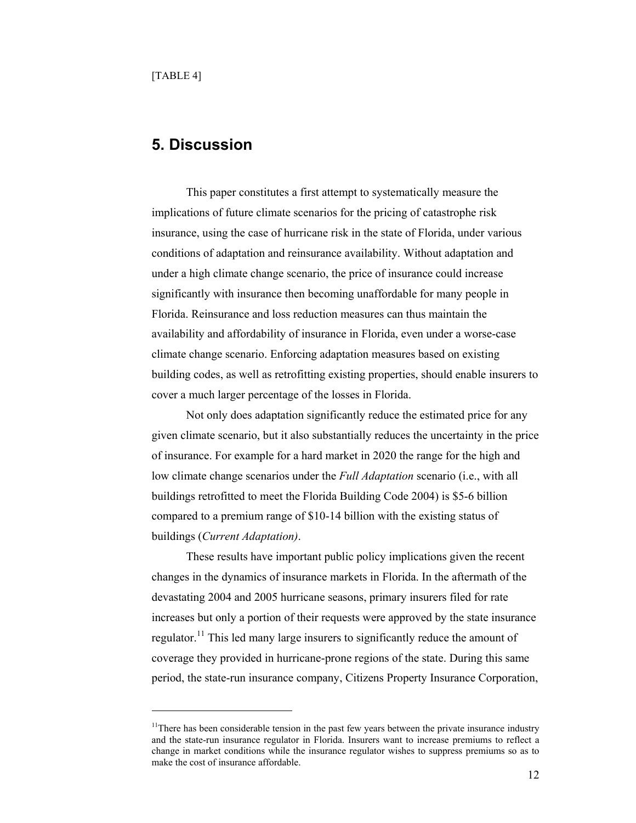$\overline{a}$ 

## **5. Discussion**

This paper constitutes a first attempt to systematically measure the implications of future climate scenarios for the pricing of catastrophe risk insurance, using the case of hurricane risk in the state of Florida, under various conditions of adaptation and reinsurance availability. Without adaptation and under a high climate change scenario, the price of insurance could increase significantly with insurance then becoming unaffordable for many people in Florida. Reinsurance and loss reduction measures can thus maintain the availability and affordability of insurance in Florida, even under a worse-case climate change scenario. Enforcing adaptation measures based on existing building codes, as well as retrofitting existing properties, should enable insurers to cover a much larger percentage of the losses in Florida.

Not only does adaptation significantly reduce the estimated price for any given climate scenario, but it also substantially reduces the uncertainty in the price of insurance. For example for a hard market in 2020 the range for the high and low climate change scenarios under the *Full Adaptation* scenario (i.e., with all buildings retrofitted to meet the Florida Building Code 2004) is \$5-6 billion compared to a premium range of \$10-14 billion with the existing status of buildings (*Current Adaptation)*.

These results have important public policy implications given the recent changes in the dynamics of insurance markets in Florida. In the aftermath of the devastating 2004 and 2005 hurricane seasons, primary insurers filed for rate increases but only a portion of their requests were approved by the state insurance regulator.<sup>11</sup> This led many large insurers to significantly reduce the amount of coverage they provided in hurricane-prone regions of the state. During this same period, the state-run insurance company, Citizens Property Insurance Corporation,

<sup>&</sup>lt;sup>11</sup>There has been considerable tension in the past few years between the private insurance industry and the state-run insurance regulator in Florida. Insurers want to increase premiums to reflect a change in market conditions while the insurance regulator wishes to suppress premiums so as to make the cost of insurance affordable.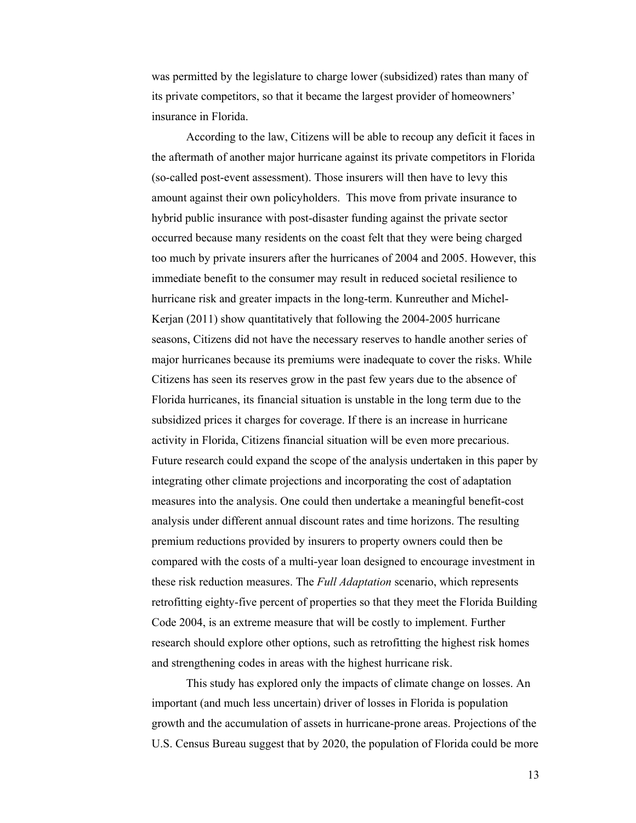was permitted by the legislature to charge lower (subsidized) rates than many of its private competitors, so that it became the largest provider of homeowners' insurance in Florida.

According to the law, Citizens will be able to recoup any deficit it faces in the aftermath of another major hurricane against its private competitors in Florida (so-called post-event assessment). Those insurers will then have to levy this amount against their own policyholders. This move from private insurance to hybrid public insurance with post-disaster funding against the private sector occurred because many residents on the coast felt that they were being charged too much by private insurers after the hurricanes of 2004 and 2005. However, this immediate benefit to the consumer may result in reduced societal resilience to hurricane risk and greater impacts in the long-term. Kunreuther and Michel-Kerjan (2011) show quantitatively that following the 2004-2005 hurricane seasons, Citizens did not have the necessary reserves to handle another series of major hurricanes because its premiums were inadequate to cover the risks. While Citizens has seen its reserves grow in the past few years due to the absence of Florida hurricanes, its financial situation is unstable in the long term due to the subsidized prices it charges for coverage. If there is an increase in hurricane activity in Florida, Citizens financial situation will be even more precarious. Future research could expand the scope of the analysis undertaken in this paper by integrating other climate projections and incorporating the cost of adaptation measures into the analysis. One could then undertake a meaningful benefit-cost analysis under different annual discount rates and time horizons. The resulting premium reductions provided by insurers to property owners could then be compared with the costs of a multi-year loan designed to encourage investment in these risk reduction measures. The *Full Adaptation* scenario, which represents retrofitting eighty-five percent of properties so that they meet the Florida Building Code 2004, is an extreme measure that will be costly to implement. Further research should explore other options, such as retrofitting the highest risk homes and strengthening codes in areas with the highest hurricane risk.

This study has explored only the impacts of climate change on losses. An important (and much less uncertain) driver of losses in Florida is population growth and the accumulation of assets in hurricane-prone areas. Projections of the U.S. Census Bureau suggest that by 2020, the population of Florida could be more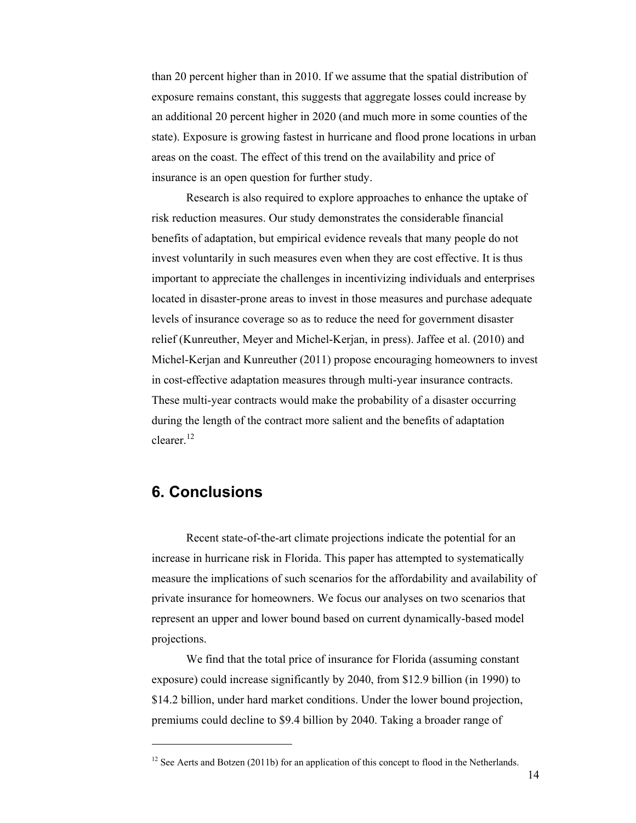than 20 percent higher than in 2010. If we assume that the spatial distribution of exposure remains constant, this suggests that aggregate losses could increase by an additional 20 percent higher in 2020 (and much more in some counties of the state). Exposure is growing fastest in hurricane and flood prone locations in urban areas on the coast. The effect of this trend on the availability and price of insurance is an open question for further study.

Research is also required to explore approaches to enhance the uptake of risk reduction measures. Our study demonstrates the considerable financial benefits of adaptation, but empirical evidence reveals that many people do not invest voluntarily in such measures even when they are cost effective. It is thus important to appreciate the challenges in incentivizing individuals and enterprises located in disaster-prone areas to invest in those measures and purchase adequate levels of insurance coverage so as to reduce the need for government disaster relief (Kunreuther, Meyer and Michel-Kerjan, in press). Jaffee et al. (2010) and Michel-Kerjan and Kunreuther (2011) propose encouraging homeowners to invest in cost-effective adaptation measures through multi-year insurance contracts. These multi-year contracts would make the probability of a disaster occurring during the length of the contract more salient and the benefits of adaptation clearer.<sup>12</sup>

## **6. Conclusions**

 $\overline{a}$ 

Recent state-of-the-art climate projections indicate the potential for an increase in hurricane risk in Florida. This paper has attempted to systematically measure the implications of such scenarios for the affordability and availability of private insurance for homeowners. We focus our analyses on two scenarios that represent an upper and lower bound based on current dynamically-based model projections.

We find that the total price of insurance for Florida (assuming constant exposure) could increase significantly by 2040, from \$12.9 billion (in 1990) to \$14.2 billion, under hard market conditions. Under the lower bound projection, premiums could decline to \$9.4 billion by 2040. Taking a broader range of

 $12$  See Aerts and Botzen (2011b) for an application of this concept to flood in the Netherlands.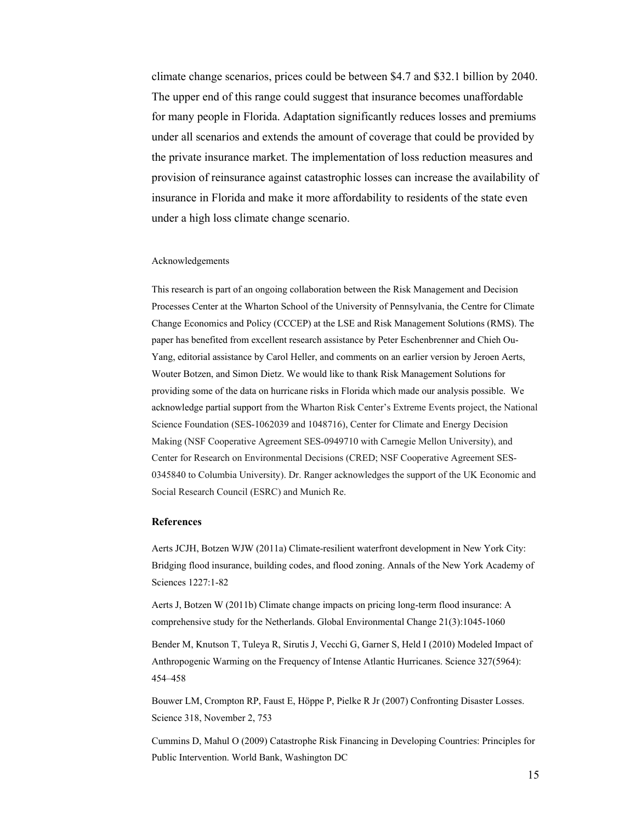climate change scenarios, prices could be between \$4.7 and \$32.1 billion by 2040. The upper end of this range could suggest that insurance becomes unaffordable for many people in Florida. Adaptation significantly reduces losses and premiums under all scenarios and extends the amount of coverage that could be provided by the private insurance market. The implementation of loss reduction measures and provision of reinsurance against catastrophic losses can increase the availability of insurance in Florida and make it more affordability to residents of the state even under a high loss climate change scenario.

#### Acknowledgements

This research is part of an ongoing collaboration between the Risk Management and Decision Processes Center at the Wharton School of the University of Pennsylvania, the Centre for Climate Change Economics and Policy (CCCEP) at the LSE and Risk Management Solutions (RMS). The paper has benefited from excellent research assistance by Peter Eschenbrenner and Chieh Ou-Yang, editorial assistance by Carol Heller, and comments on an earlier version by Jeroen Aerts, Wouter Botzen, and Simon Dietz. We would like to thank Risk Management Solutions for providing some of the data on hurricane risks in Florida which made our analysis possible. We acknowledge partial support from the Wharton Risk Center's Extreme Events project, the National Science Foundation (SES-1062039 and 1048716), Center for Climate and Energy Decision Making (NSF Cooperative Agreement SES-0949710 with Carnegie Mellon University), and Center for Research on Environmental Decisions (CRED; NSF Cooperative Agreement SES-0345840 to Columbia University). Dr. Ranger acknowledges the support of the UK Economic and Social Research Council (ESRC) and Munich Re.

#### **References**

Aerts JCJH, Botzen WJW (2011a) Climate-resilient waterfront development in New York City: Bridging flood insurance, building codes, and flood zoning. Annals of the New York Academy of Sciences 1227:1-82

Aerts J, Botzen W (2011b) Climate change impacts on pricing long-term flood insurance: A comprehensive study for the Netherlands. Global Environmental Change 21(3):1045-1060

Bender M, Knutson T, Tuleya R, Sirutis J, Vecchi G, Garner S, Held I (2010) Modeled Impact of Anthropogenic Warming on the Frequency of Intense Atlantic Hurricanes. Science 327(5964): 454–458

Bouwer LM, Crompton RP, Faust E, Höppe P, Pielke R Jr (2007) Confronting Disaster Losses. Science 318, November 2, 753

Cummins D, Mahul O (2009) Catastrophe Risk Financing in Developing Countries: Principles for Public Intervention. World Bank, Washington DC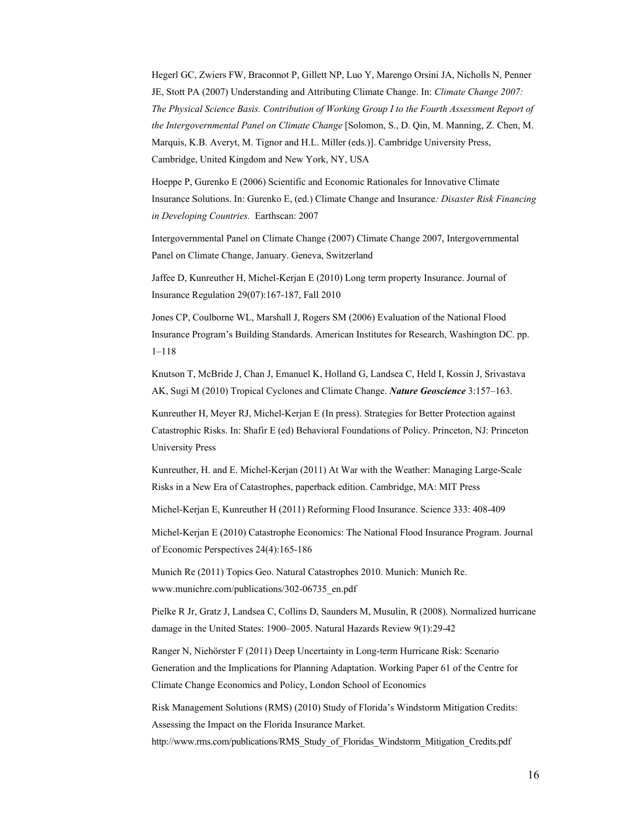Hegerl GC, Zwiers FW, Braconnot P, Gillett NP, Luo Y, Marengo Orsini JA, Nicholls N, Penner JE, Stott PA (2007) Understanding and Attributing Climate Change. In: *Climate Change 2007: The Physical Science Basis. Contribution of Working Group I to the Fourth Assessment Report of the Intergovernmental Panel on Climate Change* [Solomon, S., D. Qin, M. Manning, Z. Chen, M. Marquis, K.B. Averyt, M. Tignor and H.L. Miller (eds.)]. Cambridge University Press, Cambridge, United Kingdom and New York, NY, USA

Hoeppe P, Gurenko E (2006) Scientific and Economic Rationales for Innovative Climate Insurance Solutions. In: Gurenko E, (ed.) Climate Change and Insurance*: Disaster Risk Financing in Developing Countries.* Earthscan: 2007

Intergovernmental Panel on Climate Change (2007) Climate Change 2007, Intergovernmental Panel on Climate Change, January. Geneva, Switzerland

Jaffee D, Kunreuther H, Michel-Kerjan E (2010) Long term property Insurance. Journal of Insurance Regulation 29(07):167-187, Fall 2010

Jones CP, Coulborne WL, Marshall J, Rogers SM (2006) Evaluation of the National Flood Insurance Program's Building Standards. American Institutes for Research, Washington DC. pp. 1–118

Knutson T, McBride J, Chan J, Emanuel K, Holland G, Landsea C, Held I, Kossin J, Srivastava AK, Sugi M (2010) Tropical Cyclones and Climate Change. *Nature Geoscience* 3:157–163.

Kunreuther H, Meyer RJ, Michel-Kerjan E (In press). Strategies for Better Protection against Catastrophic Risks. In: Shafir E (ed) Behavioral Foundations of Policy. Princeton, NJ: Princeton University Press

Kunreuther, H. and E. Michel-Kerjan (2011) At War with the Weather: Managing Large-Scale Risks in a New Era of Catastrophes, paperback edition. Cambridge, MA: MIT Press

Michel-Kerjan E, Kunreuther H (2011) Reforming Flood Insurance. Science 333: 408-409

Michel-Kerjan E (2010) Catastrophe Economics: The National Flood Insurance Program. Journal of Economic Perspectives 24(4):165-186

Munich Re (2011) Topics Geo. Natural Catastrophes 2010. Munich: Munich Re. www.munichre.com/publications/302-06735\_en.pdf

Pielke R Jr, Gratz J, Landsea C, Collins D, Saunders M, Musulin, R (2008). Normalized hurricane damage in the United States: 1900–2005. Natural Hazards Review 9(1):29-42

Ranger N, Niehörster F (2011) Deep Uncertainty in Long-term Hurricane Risk: Scenario Generation and the Implications for Planning Adaptation. Working Paper 61 of the Centre for Climate Change Economics and Policy, London School of Economics

Risk Management Solutions (RMS) (2010) Study of Florida's Windstorm Mitigation Credits: Assessing the Impact on the Florida Insurance Market.

http://www.rms.com/publications/RMS\_Study\_of\_Floridas\_Windstorm\_Mitigation\_Credits.pdf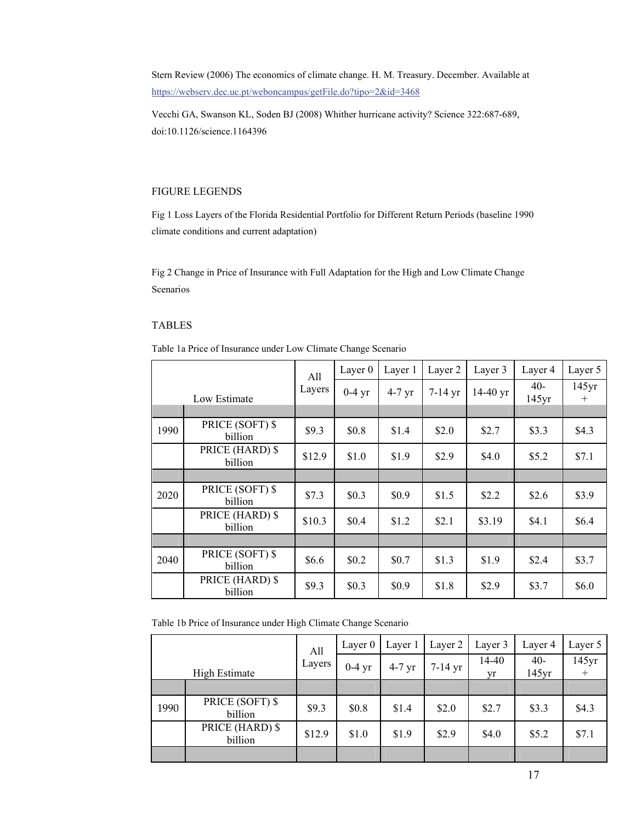Stern Review (2006) The economics of climate change. H. M. Treasury. December. Available at https://webserv.dec.uc.pt/weboncampus/getFile.do?tipo=2&id=3468

Vecchi GA, Swanson KL, Soden BJ (2008) Whither hurricane activity? Science 322:687-689, doi:10.1126/science.1164396

### FIGURE LEGENDS

Fig 1 Loss Layers of the Florida Residential Portfolio for Different Return Periods (baseline 1990 climate conditions and current adaptation)

Fig 2 Change in Price of Insurance with Full Adaptation for the High and Low Climate Change Scenarios

## TABLES

Table 1a Price of Insurance under Low Climate Change Scenario

| Low Estimate |                            | All    | Layer 0  | Layer 1  | Layer 2   | Layer 3    | Layer 4        | Layer 5         |
|--------------|----------------------------|--------|----------|----------|-----------|------------|----------------|-----------------|
|              |                            | Layers | $0-4$ yr | $4-7$ yr | $7-14$ yr | $14-40$ yr | $40-$<br>145yr | 145yr<br>$^{+}$ |
|              |                            |        |          |          |           |            |                |                 |
| 1990         | PRICE (SOFT) \$<br>billion | \$9.3  | \$0.8    | \$1.4    | \$2.0     | \$2.7      | \$3.3          | \$4.3           |
|              | PRICE (HARD) \$<br>billion | \$12.9 | \$1.0    | \$1.9    | \$2.9     | \$4.0      | \$5.2\$        | \$7.1           |
|              |                            |        |          |          |           |            |                |                 |
| 2020         | PRICE (SOFT) \$<br>billion | \$7.3  | \$0.3    | \$0.9    | \$1.5     | \$2.2      | \$2.6          | \$3.9           |
|              | PRICE (HARD) \$<br>billion | \$10.3 | \$0.4    | \$1.2    | \$2.1     | \$3.19     | \$4.1          | \$6.4           |
|              |                            |        |          |          |           |            |                |                 |
| 2040         | PRICE (SOFT) \$<br>billion | \$6.6  | \$0.2\$  | \$0.7    | \$1.3     | \$1.9      | \$2.4          | \$3.7           |
|              | PRICE (HARD) \$<br>billion | \$9.3  | \$0.3\$  | \$0.9    | \$1.8     | \$2.9      | \$3.7          | \$6.0           |

Table 1b Price of Insurance under High Climate Change Scenario

|                      |                            |               | Layer $0$ | Layer 1  | Layer 2   | Layer 3     | Layer 4        | Layer 5 |
|----------------------|----------------------------|---------------|-----------|----------|-----------|-------------|----------------|---------|
| <b>High Estimate</b> |                            | All<br>Layers | $0-4$ yr  | $4-7$ yr | $7-14$ yr | 14-40<br>vr | $40-$<br>145yr | 145yr   |
|                      |                            |               |           |          |           |             |                |         |
| 1990                 | PRICE (SOFT) \$<br>billion | \$9.3         | \$0.8     | \$1.4    | \$2.0     | \$2.7       | \$3.3          | \$4.3   |
|                      | PRICE (HARD) \$<br>billion | \$12.9        | \$1.0     | \$1.9    | \$2.9     | \$4.0       | \$5.2          | \$7.1   |
|                      |                            |               |           |          |           |             |                |         |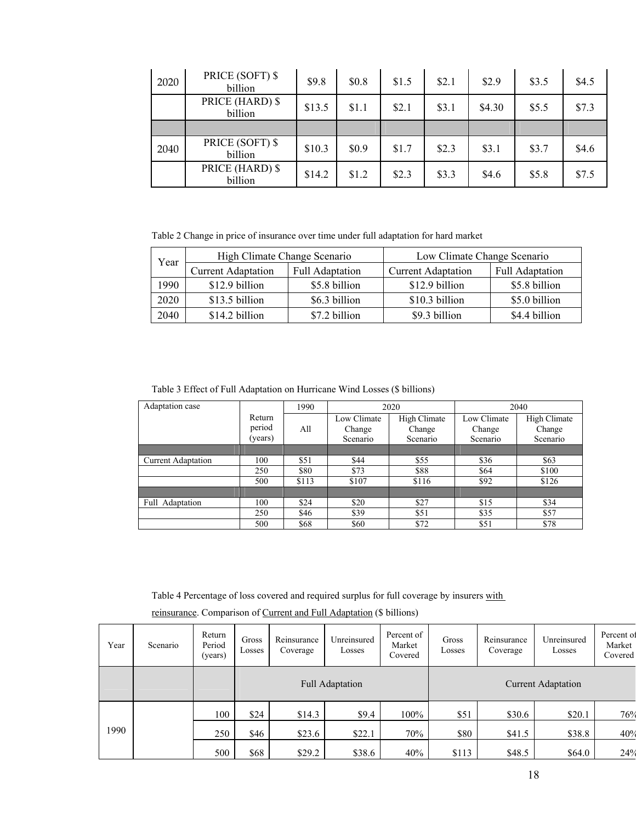| 2020 | PRICE (SOFT) \$<br>billion | \$9.8  | \$0.8 | \$1.5 | \$2.1 | \$2.9  | \$3.5 | \$4.5 |
|------|----------------------------|--------|-------|-------|-------|--------|-------|-------|
|      | PRICE (HARD) \$<br>billion | \$13.5 | \$1.1 | \$2.1 | \$3.1 | \$4.30 | \$5.5 | \$7.3 |
|      |                            |        |       |       |       |        |       |       |
| 2040 | PRICE (SOFT) \$<br>billion | \$10.3 | \$0.9 | \$1.7 | \$2.3 | \$3.1  | \$3.7 | \$4.6 |
|      | PRICE (HARD) \$<br>billion | \$14.2 | \$1.2 | \$2.3 | \$3.3 | \$4.6  | \$5.8 | \$7.5 |

Table 2 Change in price of insurance over time under full adaptation for hard market

| High Climate Change Scenario<br>Year<br><b>Current Adaptation</b> |                        |                           | Low Climate Change Scenario |               |  |  |
|-------------------------------------------------------------------|------------------------|---------------------------|-----------------------------|---------------|--|--|
|                                                                   | <b>Full Adaptation</b> | <b>Current Adaptation</b> | <b>Full Adaptation</b>      |               |  |  |
| 1990                                                              | \$12.9 billion         | \$5.8 billion             | \$12.9 billion              | \$5.8 billion |  |  |
| 2020                                                              | \$13.5 billion         | \$6.3 billion             | \$10.3 billion              | \$5.0 billion |  |  |
| 2040                                                              | \$14.2 billion         | \$7.2 billion             | \$9.3 billion               | \$4.4 billion |  |  |

Table 3 Effect of Full Adaptation on Hurricane Wind Losses (\$ billions)

| Adaptation case           |         | 1990  |             | 2020         | 2040        |              |  |
|---------------------------|---------|-------|-------------|--------------|-------------|--------------|--|
|                           | Return  |       | Low Climate | High Climate | Low Climate | High Climate |  |
|                           | period  | All   | Change      | Change       | Change      | Change       |  |
|                           | (years) |       | Scenario    | Scenario     | Scenario    | Scenario     |  |
|                           |         |       |             |              |             |              |  |
| <b>Current Adaptation</b> | 100     | \$51  | \$44        | \$55         | \$36        | \$63         |  |
|                           | 250     | \$80  | \$73        | \$88         | \$64        | \$100        |  |
|                           | 500     | \$113 | \$107       | \$116        | \$92        | \$126        |  |
|                           |         |       |             |              |             |              |  |
| Full Adaptation           | 100     | \$24  | \$20        | \$27         | \$15        | \$34         |  |
|                           | 250     | \$46  | \$39        | \$51         | \$35        | \$57         |  |
|                           | 500     | \$68  | \$60        | \$72         | \$51        | \$78         |  |

Table 4 Percentage of loss covered and required surplus for full coverage by insurers with

reinsurance. Comparison of Current and Full Adaptation (\$ billions)

| Year | Scenario | Return<br>Period<br>(years) | Gross<br>Losses | Reinsurance<br>Coverage | Unreinsured<br>Losses | Percent of<br>Market<br>Covered | Gross<br>Losses | Reinsurance<br>Coverage   | Unreinsured<br>Losses | Percent of<br>Market<br>Covered |  |
|------|----------|-----------------------------|-----------------|-------------------------|-----------------------|---------------------------------|-----------------|---------------------------|-----------------------|---------------------------------|--|
|      |          |                             |                 | <b>Full Adaptation</b>  |                       |                                 |                 | <b>Current Adaptation</b> |                       |                                 |  |
|      |          | 100                         | \$24            | \$14.3                  | \$9.4                 | 100%                            | \$51            | \$30.6                    | \$20.1                | 76%                             |  |
| 1990 |          | 250                         | \$46            | \$23.6                  | \$22.1                | 70%                             | \$80            | \$41.5                    | \$38.8                | 40%                             |  |
|      |          | 500                         | \$68            | \$29.2\$                | \$38.6                | 40%                             | \$113           | \$48.5                    | \$64.0                | 24%                             |  |